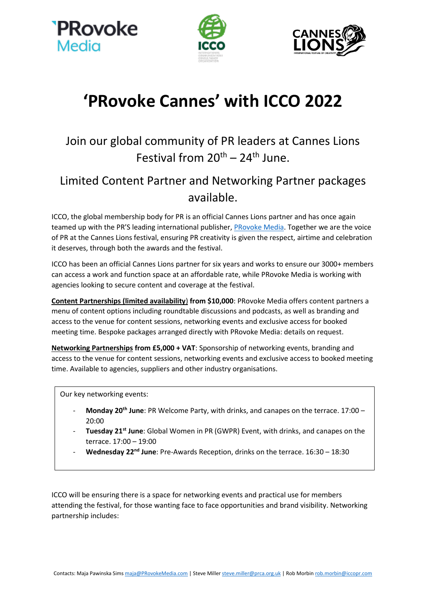





## **'PRovoke Cannes' with ICCO 2022**

## Join our global community of PR leaders at Cannes Lions Festival from  $20^{th} - 24^{th}$  June.

## Limited Content Partner and Networking Partner packages available.

ICCO, the global membership body for PR is an official Cannes Lions partner and has once again teamed up with the PR'S leading international publisher, [PRovoke Media.](https://www.provokemedia.com/) Together we are the voice of PR at the Cannes Lions festival, ensuring PR creativity is given the respect, airtime and celebration it deserves, through both the awards and the festival.

ICCO has been an official Cannes Lions partner for six years and works to ensure our 3000+ members can access a work and function space at an affordable rate, while PRovoke Media is working with agencies looking to secure content and coverage at the festival.

**Content Partnerships (limited availability**) **from \$10,000**: PRovoke Media offers content partners a menu of content options including roundtable discussions and podcasts, as well as branding and access to the venue for content sessions, networking events and exclusive access for booked meeting time. Bespoke packages arranged directly with PRovoke Media: details on request.

**Networking Partnerships from £5,000 + VAT**: Sponsorship of networking events, branding and access to the venue for content sessions, networking events and exclusive access to booked meeting time. Available to agencies, suppliers and other industry organisations.

Our key networking events:

- **Monday 20th June**: PR Welcome Party, with drinks, and canapes on the terrace. 17:00 20:00
- **Tuesday 21st June**: Global Women in PR (GWPR) Event, with drinks, and canapes on the terrace. 17:00 – 19:00
- Wednesday 22<sup>nd</sup> June: Pre-Awards Reception, drinks on the terrace. 16:30 18:30

ICCO will be ensuring there is a space for networking events and practical use for members attending the festival, for those wanting face to face opportunities and brand visibility. Networking partnership includes: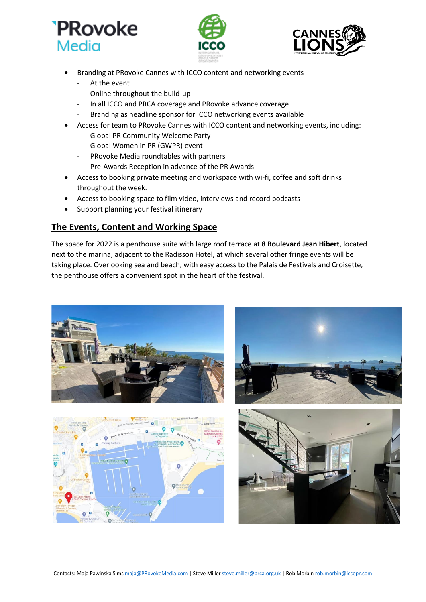





- Branding at PRovoke Cannes with ICCO content and networking events
	- At the event
	- Online throughout the build-up
	- In all ICCO and PRCA coverage and PRovoke advance coverage
	- Branding as headline sponsor for ICCO networking events available
- Access for team to PRovoke Cannes with ICCO content and networking events, including:
	- Global PR Community Welcome Party
	- Global Women in PR (GWPR) event
	- PRovoke Media roundtables with partners
	- Pre-Awards Reception in advance of the PR Awards
- Access to booking private meeting and workspace with wi-fi, coffee and soft drinks throughout the week.
- Access to booking space to film video, interviews and record podcasts
- Support planning your festival itinerary

## **The Events, Content and Working Space**

The space for 2022 is a penthouse suite with large roof terrace at **8 Boulevard Jean Hibert**, located next to the marina, adjacent to the Radisson Hotel, at which several other fringe events will be taking place. Overlooking sea and beach, with easy access to the Palais de Festivals and Croisette, the penthouse offers a convenient spot in the heart of the festival.